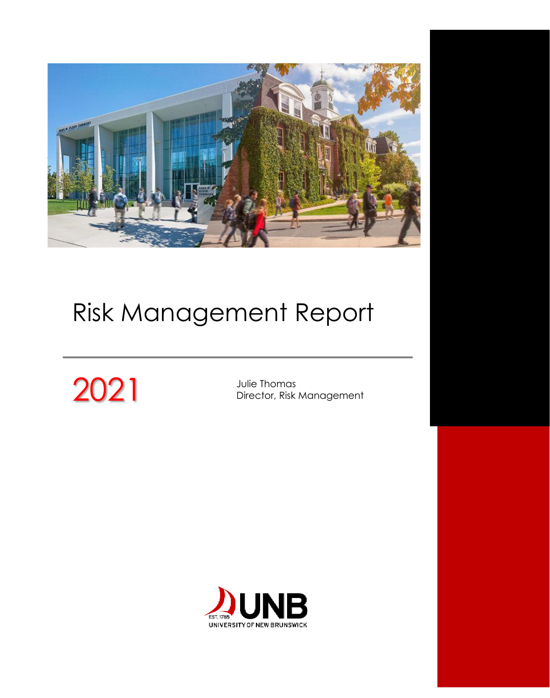

# Risk Management Report

# 2021 Julie Thomas<br>Director, Risk

Director, Risk Management

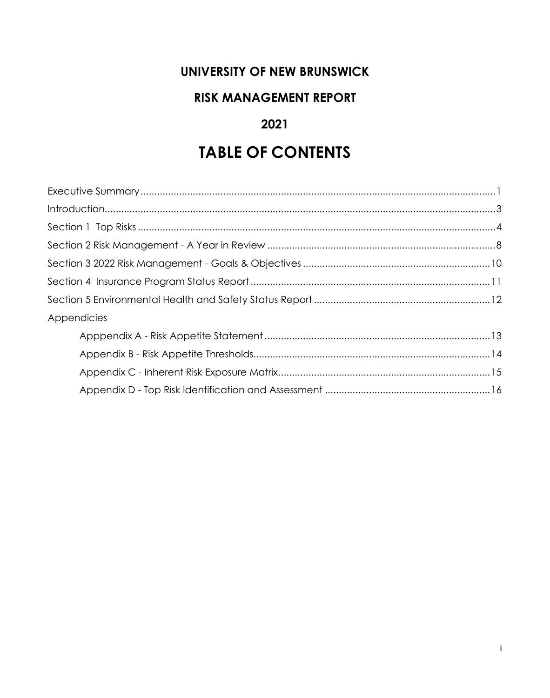#### **UNIVERSITY OF NEW BRUNSWICK**

#### **RISK MANAGEMENT REPORT**

#### **2021**

# **TABLE OF CONTENTS**

| Appendicies |  |
|-------------|--|
|             |  |
|             |  |
|             |  |
|             |  |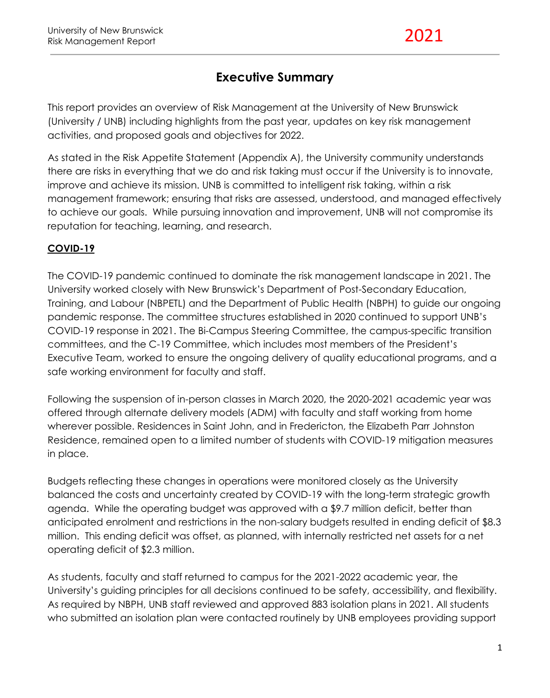#### **Executive Summary**

This report provides an overview of Risk Management at the University of New Brunswick (University / UNB) including highlights from the past year, updates on key risk management activities, and proposed goals and objectives for 2022.

As stated in the Risk Appetite Statement (Appendix A), the University community understands there are risks in everything that we do and risk taking must occur if the University is to innovate, improve and achieve its mission. UNB is committed to intelligent risk taking, within a risk management framework; ensuring that risks are assessed, understood, and managed effectively to achieve our goals. While pursuing innovation and improvement, UNB will not compromise its reputation for teaching, learning, and research.

#### **COVID-19**

The COVID-19 pandemic continued to dominate the risk management landscape in 2021. The University worked closely with New Brunswick's Department of Post-Secondary Education, Training, and Labour (NBPETL) and the Department of Public Health (NBPH) to guide our ongoing pandemic response. The committee structures established in 2020 continued to support UNB's COVID-19 response in 2021. The Bi-Campus Steering Committee, the campus-specific transition committees, and the C-19 Committee, which includes most members of the President's Executive Team, worked to ensure the ongoing delivery of quality educational programs, and a safe working environment for faculty and staff.

Following the suspension of in-person classes in March 2020, the 2020-2021 academic year was offered through alternate delivery models (ADM) with faculty and staff working from home wherever possible. Residences in Saint John, and in Fredericton, the Elizabeth Parr Johnston Residence, remained open to a limited number of students with COVID-19 mitigation measures in place.

Budgets reflecting these changes in operations were monitored closely as the University balanced the costs and uncertainty created by COVID-19 with the long-term strategic growth agenda. While the operating budget was approved with a \$9.7 million deficit, better than anticipated enrolment and restrictions in the non-salary budgets resulted in ending deficit of \$8.3 million. This ending deficit was offset, as planned, with internally restricted net assets for a net operating deficit of \$2.3 million.

As students, faculty and staff returned to campus for the 2021-2022 academic year, the University's guiding principles for all decisions continued to be safety, accessibility, and flexibility. As required by NBPH, UNB staff reviewed and approved 883 isolation plans in 2021. All students who submitted an isolation plan were contacted routinely by UNB employees providing support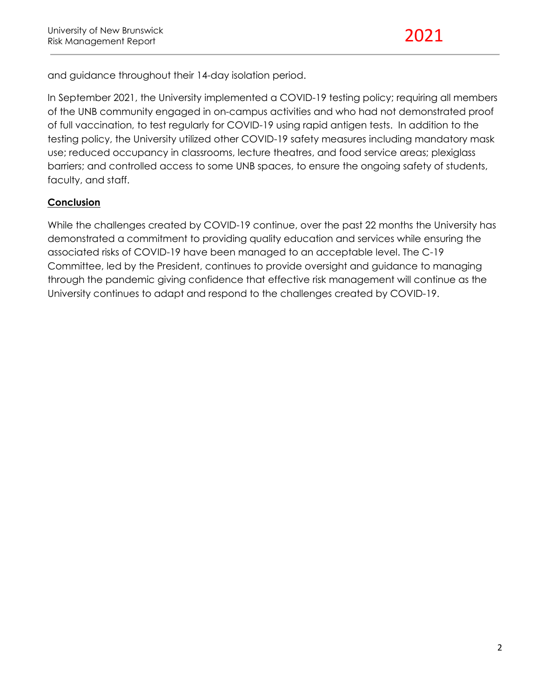and guidance throughout their 14-day isolation period.

In September 2021, the University implemented a COVID-19 testing policy; requiring all members of the UNB community engaged in on-campus activities and who had not demonstrated proof of full vaccination, to test regularly for COVID-19 using rapid antigen tests. In addition to the testing policy, the University utilized other COVID-19 safety measures including mandatory mask use; reduced occupancy in classrooms, lecture theatres, and food service areas; plexiglass barriers; and controlled access to some UNB spaces, to ensure the ongoing safety of students, faculty, and staff.

#### **Conclusion**

While the challenges created by COVID-19 continue, over the past 22 months the University has demonstrated a commitment to providing quality education and services while ensuring the associated risks of COVID-19 have been managed to an acceptable level. The C-19 Committee, led by the President, continues to provide oversight and guidance to managing through the pandemic giving confidence that effective risk management will continue as the University continues to adapt and respond to the challenges created by COVID-19.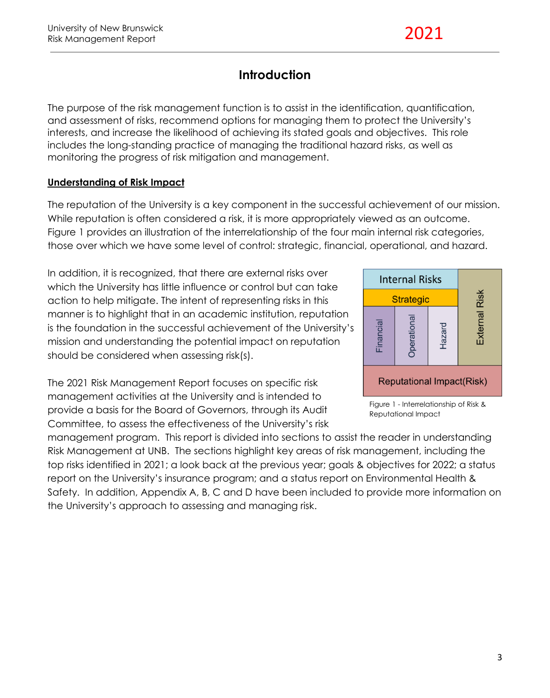### **Introduction**

The purpose of the risk management function is to assist in the identification, quantification, and assessment of risks, recommend options for managing them to protect the University's interests, and increase the likelihood of achieving its stated goals and objectives. This role includes the long-standing practice of managing the traditional hazard risks, as well as monitoring the progress of risk mitigation and management.

#### **Understanding of Risk Impact**

The reputation of the University is a key component in the successful achievement of our mission. While reputation is often considered a risk, it is more appropriately viewed as an outcome. Figure 1 provides an illustration of the interrelationship of the four main internal risk categories, those over which we have some level of control: strategic, financial, operational, and hazard.

In addition, it is recognized, that there are external risks over which the University has little influence or control but can take action to help mitigate. The intent of representing risks in this manner is to highlight that in an academic institution, reputation is the foundation in the successful achievement of the University's mission and understanding the potential impact on reputation should be considered when assessing risk(s).

The 2021 Risk Management Report focuses on specific risk management activities at the University and is intended to provide a basis for the Board of Governors, through its Audit Committee, to assess the effectiveness of the University's risk

management program. This report is divided into sections to assist the reader in understanding Risk Management at UNB. The sections highlight key areas of risk management, including the top risks identified in 2021; a look back at the previous year; goals & objectives for 2022; a status report on the University's insurance program; and a status report on Environmental Health & Safety. In addition, Appendix A, B, C and D have been included to provide more information on the University's approach to assessing and managing risk.



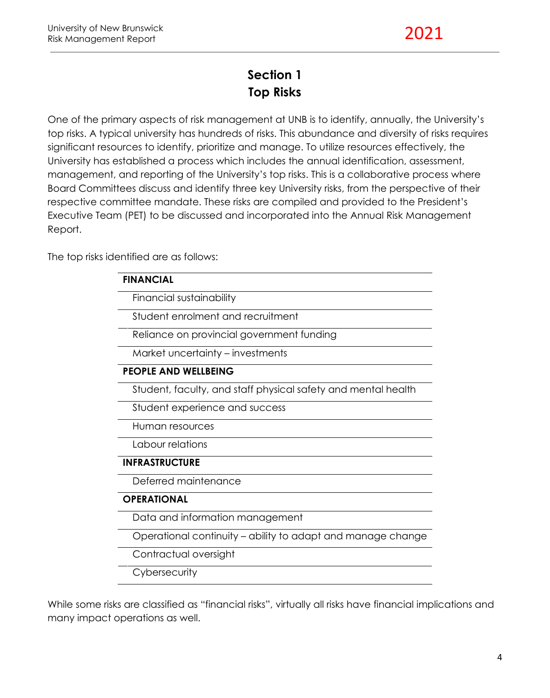## **Section 1 Top Risks**

One of the primary aspects of risk management at UNB is to identify, annually, the University's top risks. A typical university has hundreds of risks. This abundance and diversity of risks requires significant resources to identify, prioritize and manage. To utilize resources effectively, the University has established a process which includes the annual identification, assessment, management, and reporting of the University's top risks. This is a collaborative process where Board Committees discuss and identify three key University risks, from the perspective of their respective committee mandate. These risks are compiled and provided to the President's Executive Team (PET) to be discussed and incorporated into the Annual Risk Management Report.

The top risks identified are as follows:

| <b>FINANCIAL</b>                                              |
|---------------------------------------------------------------|
| Financial sustainability                                      |
| Student enrolment and recruitment                             |
| Reliance on provincial government funding                     |
| Market uncertainty – investments                              |
| <b>PEOPLE AND WELLBEING</b>                                   |
| Student, faculty, and staff physical safety and mental health |
| Student experience and success                                |
| Human resources                                               |
| Labour relations                                              |
| <b>INFRASTRUCTURE</b>                                         |
| Deferred maintenance                                          |
| <b>OPERATIONAL</b>                                            |
| Data and information management                               |
| Operational continuity - ability to adapt and manage change   |
| Contractual oversight                                         |
| Cybersecurity                                                 |

While some risks are classified as "financial risks", virtually all risks have financial implications and many impact operations as well.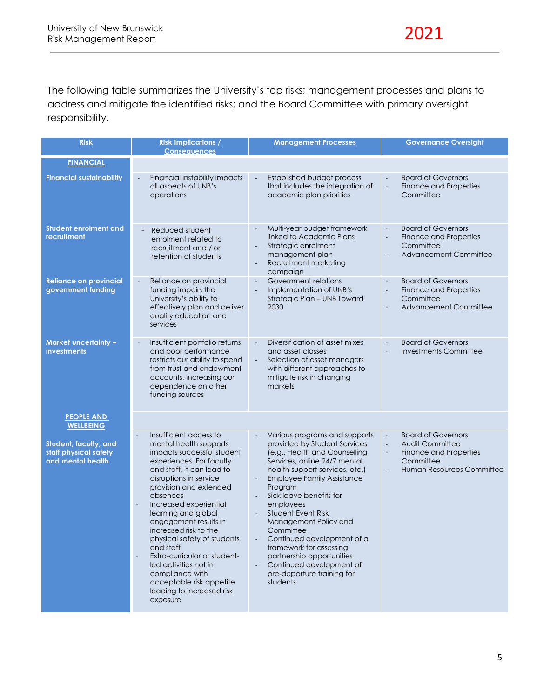The following table summarizes the University's top risks; management processes and plans to address and mitigate the identified risks; and the Board Committee with primary oversight responsibility.

| <b>Risk</b>                                                         | <b>Risk Implications /</b><br><b>Consequences</b>                                                                                                                                                                                                                                                                                                                                                                                                                                                                                           | <b>Management Processes</b>                                                                                                                                                                                                                                                                                                                                                                                                                                                      | <b>Governance Oversight</b>                                                                                                                                                        |
|---------------------------------------------------------------------|---------------------------------------------------------------------------------------------------------------------------------------------------------------------------------------------------------------------------------------------------------------------------------------------------------------------------------------------------------------------------------------------------------------------------------------------------------------------------------------------------------------------------------------------|----------------------------------------------------------------------------------------------------------------------------------------------------------------------------------------------------------------------------------------------------------------------------------------------------------------------------------------------------------------------------------------------------------------------------------------------------------------------------------|------------------------------------------------------------------------------------------------------------------------------------------------------------------------------------|
| <b>FINANCIAL</b>                                                    |                                                                                                                                                                                                                                                                                                                                                                                                                                                                                                                                             |                                                                                                                                                                                                                                                                                                                                                                                                                                                                                  |                                                                                                                                                                                    |
| <b>Financial sustainability</b>                                     | Financial instability impacts<br>$\overline{\phantom{a}}$<br>all aspects of UNB's<br>operations                                                                                                                                                                                                                                                                                                                                                                                                                                             | Established budget process<br>$\overline{\phantom{a}}$<br>that includes the integration of<br>academic plan priorities                                                                                                                                                                                                                                                                                                                                                           | <b>Board of Governors</b><br>$\overline{\phantom{a}}$<br>Finance and Properties<br>$\Box$<br>Committee                                                                             |
| <b>Student enrolment and</b><br>recruitment                         | Reduced student<br>enrolment related to<br>recruitment and / or<br>retention of students                                                                                                                                                                                                                                                                                                                                                                                                                                                    | Multi-year budget framework<br>linked to Academic Plans<br>Strategic enrolment<br>management plan<br>Recruitment marketing<br>$\blacksquare$<br>campaign                                                                                                                                                                                                                                                                                                                         | <b>Board of Governors</b><br>$\frac{1}{2}$<br><b>Finance and Properties</b><br>$\overline{\phantom{a}}$<br>Committee<br><b>Advancement Committee</b>                               |
| <b>Reliance on provincial</b><br>government funding                 | Reliance on provincial<br>$\overline{\phantom{a}}$<br>funding impairs the<br>University's ability to<br>effectively plan and deliver<br>quality education and<br>services                                                                                                                                                                                                                                                                                                                                                                   | Government relations<br>$\Box$<br>Implementation of UNB's<br>$\blacksquare$<br>Strategic Plan - UNB Toward<br>2030                                                                                                                                                                                                                                                                                                                                                               | <b>Board of Governors</b><br><b>Finance and Properties</b><br>$\overline{\phantom{a}}$<br>Committee<br><b>Advancement Committee</b>                                                |
| <b>Market uncertainty -</b><br>investments                          | Insufficient portfolio returns<br>$\blacksquare$<br>and poor performance<br>restricts our ability to spend<br>from trust and endowment<br>accounts, increasing our<br>dependence on other<br>funding sources                                                                                                                                                                                                                                                                                                                                | Diversification of asset mixes<br>$\Box$<br>and asset classes<br>$\Box$<br>Selection of asset managers<br>with different approaches to<br>mitigate risk in changing<br>markets                                                                                                                                                                                                                                                                                                   | <b>Board of Governors</b><br>$\overline{\phantom{a}}$<br>Investments Committee                                                                                                     |
| <b>PEOPLE AND</b><br><b>WELLBEING</b>                               |                                                                                                                                                                                                                                                                                                                                                                                                                                                                                                                                             |                                                                                                                                                                                                                                                                                                                                                                                                                                                                                  |                                                                                                                                                                                    |
| Student, faculty, and<br>staff physical safety<br>and mental health | Insufficient access to<br>$\overline{a}$<br>mental health supports<br>impacts successful student<br>experiences. For faculty<br>and staff, it can lead to<br>disruptions in service<br>provision and extended<br>absences<br>Increased experiential<br>learning and global<br>engagement results in<br>increased risk to the<br>physical safety of students<br>and staff<br>Extra-curricular or student-<br>$\overline{a}$<br>led activities not in<br>compliance with<br>acceptable risk appetite<br>leading to increased risk<br>exposure | Various programs and supports<br>provided by Student Services<br>(e.g., Health and Counselling<br>Services, online 24/7 mental<br>health support services, etc.)<br><b>Employee Family Assistance</b><br>Program<br>Sick leave benefits for<br>employees<br>Student Event Risk<br>Management Policy and<br>Committee<br>Continued development of a<br>framework for assessing<br>partnership opportunities<br>Continued development of<br>pre-departure training for<br>students | <b>Board of Governors</b><br>$\Box$<br>Audit Committee<br>$\Box$<br>Finance and Properties<br>$\overline{\phantom{a}}$<br>Committee<br>Human Resources Committee<br>$\overline{a}$ |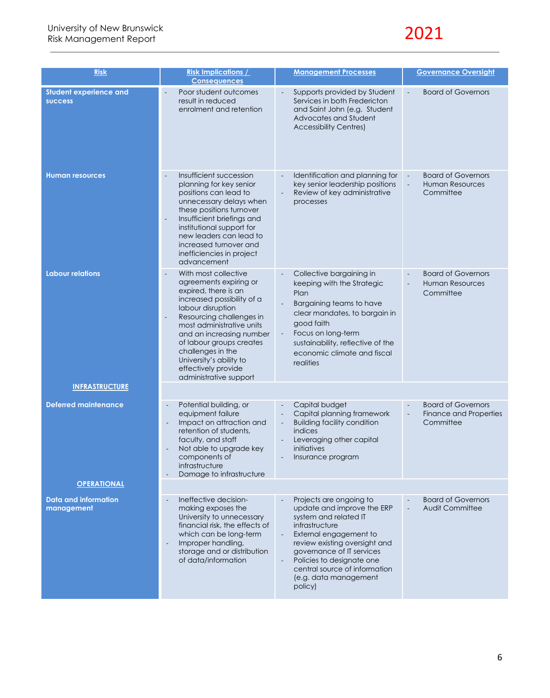# 2021

| <b>Risk</b>                                     | <b>Risk Implications /</b>                                                                                                                                                                                                                                                                                                                                              | <b>Management Processes</b>                                                                                                                                                                                                                                                                                                                        |                                                                                    |
|-------------------------------------------------|-------------------------------------------------------------------------------------------------------------------------------------------------------------------------------------------------------------------------------------------------------------------------------------------------------------------------------------------------------------------------|----------------------------------------------------------------------------------------------------------------------------------------------------------------------------------------------------------------------------------------------------------------------------------------------------------------------------------------------------|------------------------------------------------------------------------------------|
|                                                 | <b>Consequences</b>                                                                                                                                                                                                                                                                                                                                                     |                                                                                                                                                                                                                                                                                                                                                    |                                                                                    |
| <b>Student experience and</b><br><b>success</b> | Poor student outcomes<br>result in reduced<br>enrolment and retention                                                                                                                                                                                                                                                                                                   | Supports provided by Student<br>Services in both Fredericton<br>and Saint John (e.g. Student<br>Advocates and Student<br><b>Accessibility Centres)</b>                                                                                                                                                                                             | <b>Board of Governors</b><br>$\blacksquare$                                        |
| <b>Human resources</b>                          | Insufficient succession<br>planning for key senior<br>positions can lead to<br>unnecessary delays when<br>these positions turnover<br>Insufficient briefings and<br>$\overline{\phantom{a}}$<br>institutional support for<br>new leaders can lead to<br>increased turnover and<br>inefficiencies in project<br>advancement                                              | Identification and planning for<br>key senior leadership positions<br>Review of key administrative<br>processes                                                                                                                                                                                                                                    | <b>Board of Governors</b><br>$\blacksquare$<br><b>Human Resources</b><br>Committee |
| <b>Labour relations</b>                         | With most collective<br>agreements expiring or<br>expired, there is an<br>increased possibility of a<br>labour disruption<br>Resourcing challenges in<br>$\overline{\phantom{a}}$<br>most administrative units<br>and an increasing number<br>of labour groups creates<br>challenges in the<br>University's ability to<br>effectively provide<br>administrative support | Collective bargaining in<br>keeping with the Strategic<br>Plan<br>Bargaining teams to have<br>clear mandates, to bargain in<br>good faith<br>Focus on long-term<br>sustainability, reflective of the<br>economic climate and fiscal<br>realities                                                                                                   | <b>Board of Governors</b><br><b>Human Resources</b><br>Committee                   |
| <b>INFRASTRUCTURE</b>                           |                                                                                                                                                                                                                                                                                                                                                                         |                                                                                                                                                                                                                                                                                                                                                    |                                                                                    |
| <b>Deferred maintenance</b>                     | Potential building, or<br>$\overline{a}$<br>equipment failure<br>Impact on attraction and<br>$\blacksquare$<br>retention of students,<br>faculty, and staff<br>Not able to upgrade key<br>components of<br>infrastructure<br>Damage to infrastructure                                                                                                                   | Capital budget<br>Capital planning framework<br>$\overline{\phantom{a}}$<br><b>Building facility condition</b><br>$\overline{\phantom{a}}$<br><i>indices</i><br>Leveraging other capital<br>initiatives<br>Insurance program<br>$\qquad \qquad -$                                                                                                  | <b>Board of Governors</b><br>Finance and Properties<br>$\Box$<br>Committee         |
| <b>OPERATIONAL</b>                              |                                                                                                                                                                                                                                                                                                                                                                         |                                                                                                                                                                                                                                                                                                                                                    |                                                                                    |
| Data and information<br>management              | Ineffective decision-<br>$\Box$<br>making exposes the<br>University to unnecessary<br>financial risk, the effects of<br>which can be long-term<br>Improper handling,<br>$\overline{\phantom{a}}$<br>storage and or distribution<br>of data/information                                                                                                                  | Projects are ongoing to<br>update and improve the ERP<br>system and related IT<br>infrastructure<br>External engagement to<br>$\overline{\phantom{a}}$<br>review existing oversight and<br>governance of IT services<br>Policies to designate one<br>$\overline{\phantom{a}}$<br>central source of information<br>(e.g. data management<br>policy) | <b>Board of Governors</b><br><b>Audit Committee</b>                                |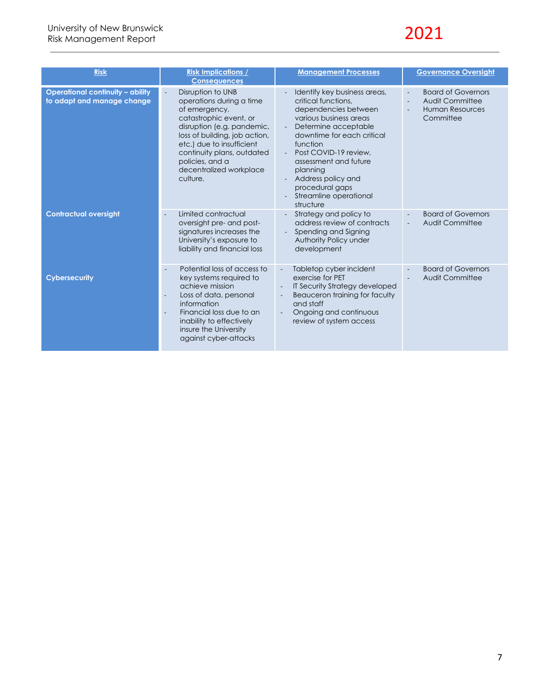

| <b>Risk</b>                                                           | <b>Risk Implications /</b><br><b>Consequences</b>                                                                                                                                                                                                                            | <b>Management Processes</b>                                                                                                                                                                                                                                                                                           | <b>Governance Oversight</b>                                                         |
|-----------------------------------------------------------------------|------------------------------------------------------------------------------------------------------------------------------------------------------------------------------------------------------------------------------------------------------------------------------|-----------------------------------------------------------------------------------------------------------------------------------------------------------------------------------------------------------------------------------------------------------------------------------------------------------------------|-------------------------------------------------------------------------------------|
| <b>Operational continuity - ability</b><br>to adapt and manage change | Disruption to UNB<br>operations during a time<br>of emergency,<br>catastrophic event, or<br>disruption (e.g. pandemic,<br>loss of building, job action,<br>etc.) due to insufficient<br>continuity plans, outdated<br>policies, and a<br>decentralized workplace<br>culture. | Identify key business areas,<br>critical functions.<br>dependencies between<br>various business areas<br>Determine acceptable<br>downtime for each critical<br>function<br>Post COVID-19 review,<br>assessment and future<br>planning<br>Address policy and<br>procedural gaps<br>Streamline operational<br>structure | <b>Board of Governors</b><br>Audit Committee<br><b>Human Resources</b><br>Committee |
| <b>Contractual oversight</b>                                          | Limited contractual<br>oversight pre- and post-<br>signatures increases the<br>University's exposure to<br>liability and financial loss                                                                                                                                      | Strategy and policy to<br>address review of contracts<br>Spending and Signing<br>Authority Policy under<br>development                                                                                                                                                                                                | <b>Board of Governors</b><br>Audit Committee                                        |
| <b>Cybersecurity</b>                                                  | Potential loss of access to<br>key systems required to<br>achieve mission<br>Loss of data, personal<br>information<br>Financial loss due to an<br>$\blacksquare$<br>inability to effectively<br>insure the University<br>against cyber-attacks                               | Tabletop cyber incident<br>$\overline{\phantom{a}}$<br>exercise for PET<br>IT Security Strategy developed<br>Beauceron training for faculty<br>and staff<br>Ongoing and continuous<br>$\overline{a}$<br>review of system access                                                                                       | <b>Board of Governors</b><br>Audit Committee                                        |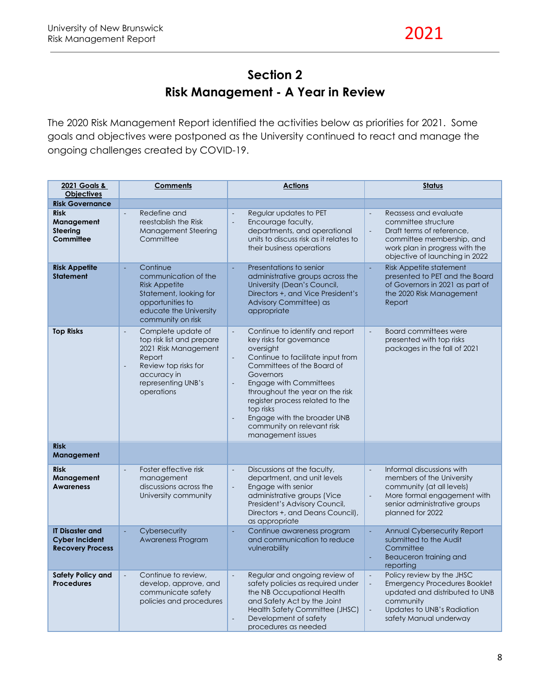## **Section 2 Risk Management - A Year in Review**

The 2020 Risk Management Report identified the activities below as priorities for 2021. Some goals and objectives were postponed as the University continued to react and manage the ongoing challenges created by COVID-19.

| 2021 Goals &<br><b>Objectives</b>                                          | <b>Comments</b>                                                                                                                                                                          | <b>Actions</b>                                                                                                                                                                                                                                                                                                                                                                                                                                            | <b>Status</b>                                                                                                                                                                                                 |
|----------------------------------------------------------------------------|------------------------------------------------------------------------------------------------------------------------------------------------------------------------------------------|-----------------------------------------------------------------------------------------------------------------------------------------------------------------------------------------------------------------------------------------------------------------------------------------------------------------------------------------------------------------------------------------------------------------------------------------------------------|---------------------------------------------------------------------------------------------------------------------------------------------------------------------------------------------------------------|
| <b>Risk Governance</b>                                                     |                                                                                                                                                                                          |                                                                                                                                                                                                                                                                                                                                                                                                                                                           |                                                                                                                                                                                                               |
| <b>Risk</b><br>Management<br><b>Steering</b><br>Committee                  | Redefine and<br>$\Box$<br>reestablish the Risk<br>Management Steering<br>Committee                                                                                                       | Regular updates to PET<br>Encourage faculty,<br>$\overline{\phantom{a}}$<br>departments, and operational<br>units to discuss risk as it relates to<br>their business operations                                                                                                                                                                                                                                                                           | Reassess and evaluate<br>committee structure<br>Draft terms of reference,<br>$\Box$<br>committee membership, and<br>work plan in progress with the<br>objective of launching in 2022                          |
| <b>Risk Appetite</b><br><b>Statement</b>                                   | Continue<br>$\omega$<br>communication of the<br><b>Risk Appetite</b><br>Statement, looking for<br>opportunities to<br>educate the University<br>community on risk                        | Presentations to senior<br>ä,<br>administrative groups across the<br>University (Dean's Council,<br>Directors +, and Vice President's<br>Advisory Committee) as<br>appropriate                                                                                                                                                                                                                                                                            | <b>Risk Appetite statement</b><br>÷,<br>presented to PET and the Board<br>of Governors in 2021 as part of<br>the 2020 Risk Management<br>Report                                                               |
| <b>Top Risks</b>                                                           | Complete update of<br>$\Box$<br>top risk list and prepare<br>2021 Risk Management<br>Report<br>Review top risks for<br>$\blacksquare$<br>accuracy in<br>representing UNB's<br>operations | Continue to identify and report<br>$\overline{\phantom{a}}$<br>key risks for governance<br>oversight<br>Continue to facilitate input from<br>$\blacksquare$<br>Committees of the Board of<br>Governors<br><b>Engage with Committees</b><br>$\overline{\phantom{a}}$<br>throughout the year on the risk<br>register process related to the<br>top risks<br>Engage with the broader UNB<br>$\frac{1}{2}$<br>community on relevant risk<br>management issues | <b>Board committees were</b><br>$\Box$<br>presented with top risks<br>packages in the fall of 2021                                                                                                            |
| <b>Risk</b><br>Management                                                  |                                                                                                                                                                                          |                                                                                                                                                                                                                                                                                                                                                                                                                                                           |                                                                                                                                                                                                               |
| <b>Risk</b><br>Management<br><b>Awareness</b>                              | Foster effective risk<br>$\blacksquare$<br>management<br>discussions across the<br>University community                                                                                  | Discussions at the faculty,<br>$\overline{\phantom{a}}$<br>department, and unit levels<br>Engage with senior<br>$\Box$<br>administrative groups (Vice<br>President's Advisory Council,<br>Directors +, and Deans Council),<br>as appropriate                                                                                                                                                                                                              | Informal discussions with<br>$\Box$<br>members of the University<br>community (at all levels)<br>More formal engagement with<br>$\blacksquare$<br>senior administrative groups<br>planned for 2022            |
| <b>IT Disaster and</b><br><b>Cyber Incident</b><br><b>Recovery Process</b> | Cybersecurity<br>$\omega$<br>Awareness Program                                                                                                                                           | Continue awareness program<br>÷,<br>and communication to reduce<br>vulnerability                                                                                                                                                                                                                                                                                                                                                                          | <b>Annual Cybersecurity Report</b><br>÷,<br>submitted to the Audit<br>Committee<br>Beauceron training and<br>$\overline{\phantom{a}}$<br>reporting                                                            |
| <b>Safety Policy and</b><br><b>Procedures</b>                              | Continue to review,<br>$\overline{\phantom{a}}$<br>develop, approve, and<br>communicate safety<br>policies and procedures                                                                | Regular and ongoing review of<br>$\Box$<br>safety policies as required under<br>the NB Occupational Health<br>and Safety Act by the Joint<br>Health Safety Committee (JHSC)<br>Development of safety<br>$\frac{1}{2}$<br>procedures as needed                                                                                                                                                                                                             | Policy review by the JHSC<br>$\Box$<br><b>Emergency Procedures Booklet</b><br>$\blacksquare$<br>updated and distributed to UNB<br>community<br>Updates to UNB's Radiation<br>$\Box$<br>safety Manual underway |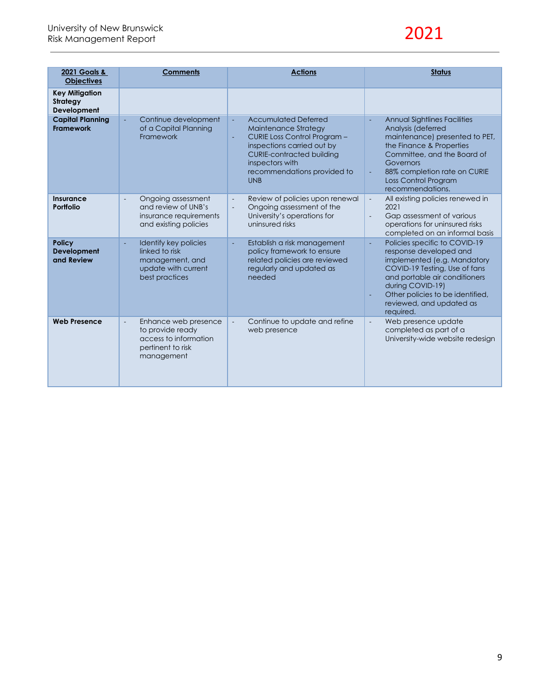# 2021

| 2021 Goals &<br><b>Objectives</b>                | <b>Comments</b>                                                                                                        | <b>Actions</b>                                                                                                                                                                                                                    | <b>Status</b>                                                                                                                                                                                                                                                                         |
|--------------------------------------------------|------------------------------------------------------------------------------------------------------------------------|-----------------------------------------------------------------------------------------------------------------------------------------------------------------------------------------------------------------------------------|---------------------------------------------------------------------------------------------------------------------------------------------------------------------------------------------------------------------------------------------------------------------------------------|
| <b>Key Mitigation</b><br>Strategy<br>Development |                                                                                                                        |                                                                                                                                                                                                                                   |                                                                                                                                                                                                                                                                                       |
| <b>Capital Planning</b><br><b>Framework</b>      | Continue development<br>of a Capital Planning<br>Framework                                                             | <b>Accumulated Deferred</b><br>÷,<br>Maintenance Strategy<br>CURIE Loss Control Program -<br>÷,<br>inspections carried out by<br><b>CURIE-contracted building</b><br>inspectors with<br>recommendations provided to<br><b>UNB</b> | Annual Sightlines Facilities<br>Analysis (deferred<br>maintenance) presented to PET,<br>the Finance & Properties<br>Committee, and the Board of<br>Governors<br>88% completion rate on CURIE<br>$\blacksquare$<br>Loss Control Program<br>recommendations.                            |
| Insurance<br>Portfolio                           | Ongoing assessment<br>$\overline{a}$<br>and review of UNB's<br>insurance requirements<br>and existing policies         | Review of policies upon renewal<br>$\overline{\phantom{a}}$<br>Ongoing assessment of the<br>$\blacksquare$<br>University's operations for<br>uninsured risks                                                                      | All existing policies renewed in<br>$\overline{\phantom{a}}$<br>2021<br>Gap assessment of various<br>$\blacksquare$<br>operations for uninsured risks<br>completed on an informal basis                                                                                               |
| <b>Policy</b><br>Development<br>and Review       | Identify key policies<br>linked to risk<br>management, and<br>update with current<br>best practices                    | Establish a risk management<br>ä,<br>policy framework to ensure<br>related policies are reviewed<br>regularly and updated as<br>needed                                                                                            | Policies specific to COVID-19<br>$\overline{\phantom{a}}$<br>response developed and<br>implemented (e.g. Mandatory<br>COVID-19 Testing, Use of fans<br>and portable air conditioners<br>during COVID-19)<br>Other policies to be identified,<br>reviewed, and updated as<br>required. |
| <b>Web Presence</b>                              | Enhance web presence<br>$\blacksquare$<br>to provide ready<br>access to information<br>pertinent to risk<br>management | $\Box$<br>Continue to update and refine<br>web presence                                                                                                                                                                           | Web presence update<br>$\Box$<br>completed as part of a<br>University-wide website redesign                                                                                                                                                                                           |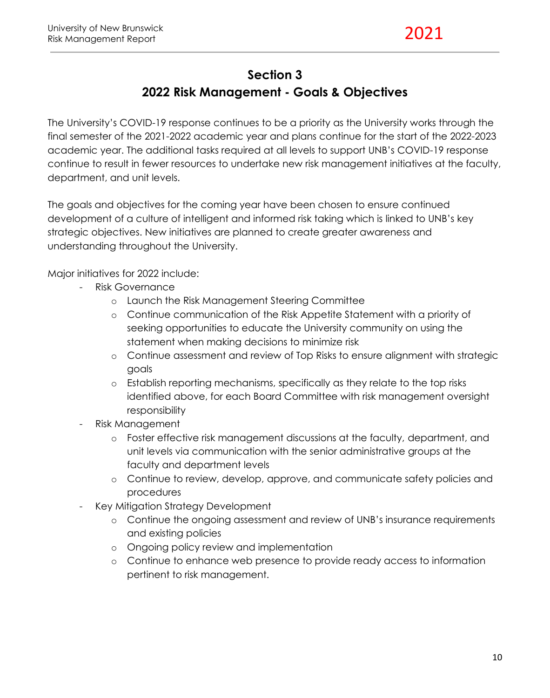#### **Section 3**

## **2022 Risk Management - Goals & Objectives**

The University's COVID-19 response continues to be a priority as the University works through the final semester of the 2021-2022 academic year and plans continue for the start of the 2022-2023 academic year. The additional tasks required at all levels to support UNB's COVID-19 response continue to result in fewer resources to undertake new risk management initiatives at the faculty, department, and unit levels.

The goals and objectives for the coming year have been chosen to ensure continued development of a culture of intelligent and informed risk taking which is linked to UNB's key strategic objectives. New initiatives are planned to create greater awareness and understanding throughout the University.

Major initiatives for 2022 include:

- Risk Governance
	- o Launch the Risk Management Steering Committee
	- o Continue communication of the Risk Appetite Statement with a priority of seeking opportunities to educate the University community on using the statement when making decisions to minimize risk
	- o Continue assessment and review of Top Risks to ensure alignment with strategic goals
	- o Establish reporting mechanisms, specifically as they relate to the top risks identified above, for each Board Committee with risk management oversight responsibility
- Risk Management
	- o Foster effective risk management discussions at the faculty, department, and unit levels via communication with the senior administrative groups at the faculty and department levels
	- o Continue to review, develop, approve, and communicate safety policies and procedures
- Key Mitigation Strategy Development
	- o Continue the ongoing assessment and review of UNB's insurance requirements and existing policies
	- o Ongoing policy review and implementation
	- o Continue to enhance web presence to provide ready access to information pertinent to risk management.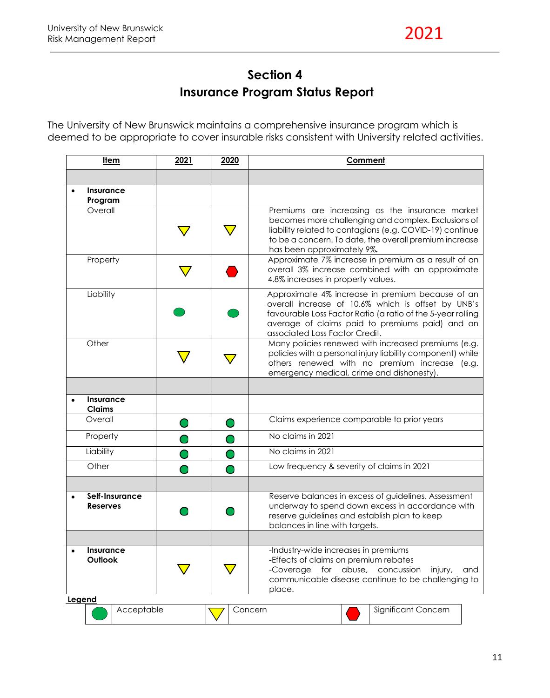## **Section 4 Insurance Program Status Report**

The University of New Brunswick maintains a comprehensive insurance program which is deemed to be appropriate to cover insurable risks consistent with University related activities.

| <u>Item</u> |                                   | 2021<br>2020<br>Comment |  |                                                                                                                                                                                                                                                            |
|-------------|-----------------------------------|-------------------------|--|------------------------------------------------------------------------------------------------------------------------------------------------------------------------------------------------------------------------------------------------------------|
|             |                                   |                         |  |                                                                                                                                                                                                                                                            |
|             | Insurance<br>Program              |                         |  |                                                                                                                                                                                                                                                            |
|             | Overall                           |                         |  | Premiums are increasing as the insurance market<br>becomes more challenging and complex. Exclusions of<br>liability related to contagions (e.g. COVID-19) continue<br>to be a concern. To date, the overall premium increase<br>has been approximately 9%. |
|             | Property                          |                         |  | Approximate 7% increase in premium as a result of an<br>overall 3% increase combined with an approximate<br>4.8% increases in property values.                                                                                                             |
|             | Liability                         |                         |  | Approximate 4% increase in premium because of an<br>overall increase of 10.6% which is offset by UNB's<br>favourable Loss Factor Ratio (a ratio of the 5-year rolling<br>average of claims paid to premiums paid) and an<br>associated Loss Factor Credit. |
|             | Other                             |                         |  | Many policies renewed with increased premiums (e.g.<br>policies with a personal injury liability component) while<br>others renewed with no premium increase (e.g.<br>emergency medical, crime and dishonesty).                                            |
|             |                                   |                         |  |                                                                                                                                                                                                                                                            |
| $\bullet$   | Insurance<br><b>Claims</b>        |                         |  |                                                                                                                                                                                                                                                            |
|             | Overall                           |                         |  | Claims experience comparable to prior years                                                                                                                                                                                                                |
|             | Property                          |                         |  | No claims in 2021                                                                                                                                                                                                                                          |
|             | Liability                         |                         |  | No claims in 2021                                                                                                                                                                                                                                          |
|             | Other                             |                         |  | Low frequency & severity of claims in 2021                                                                                                                                                                                                                 |
|             | Self-Insurance<br><b>Reserves</b> |                         |  | Reserve balances in excess of guidelines. Assessment<br>underway to spend down excess in accordance with<br>reserve guidelines and establish plan to keep<br>balances in line with targets.                                                                |
|             | <b>Insurance</b><br>Outlook       |                         |  | -Industry-wide increases in premiums<br>-Effects of claims on premium rebates<br>-Coverage for abuse, concussion<br>injury,<br>and<br>communicable disease continue to be challenging to<br>place.                                                         |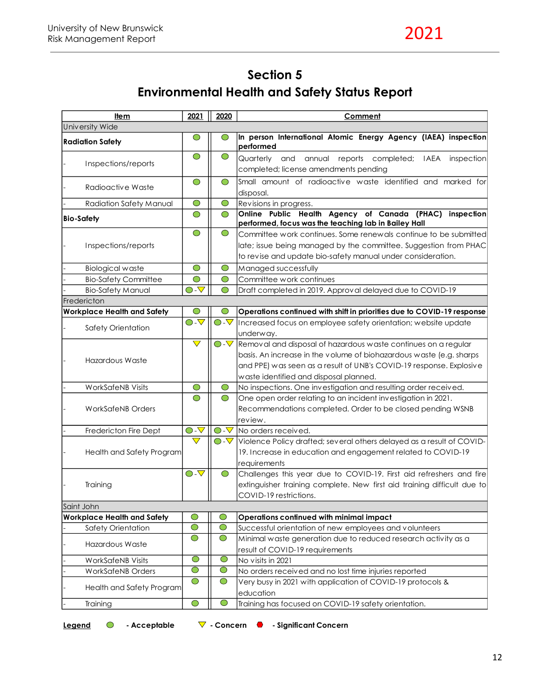## **Section 5 Environmental Health and Safety Status Report**

| University Wide<br>In person International Atomic Energy Agency (IAEA) inspection<br>$\bigcirc$<br>◯<br><b>Radiation Safety</b><br>performed<br>$\bigcirc$<br>$\bigcirc$<br>and annual reports completed; IAEA<br>Quarterly<br>inspection<br>Inspections/reports<br>completed; license amendments pending<br>Small amount of radioactive waste identified and marked for<br>$\bigcirc$<br>◯<br>Radioactive Waste<br>disposal.<br>$\bigcirc$<br>$\bigcirc$<br>Revisions in progress.<br>Radiation Safety Manual<br>Online Public Health Agency of Canada (PHAC)<br>inspection<br>$\bigcirc$<br>$\bigcirc$<br><b>Bio-Safety</b><br>performed, focus was the teaching lab in Bailey Hall<br>$\bigcirc$<br>$\bigcirc$<br>Committee work continues. Some renewals continue to be submitted<br>late; issue being managed by the committee. Suggestion from PHAC<br>Inspections/reports<br>to revise and update bio-safety manual under consideration.<br>$\bigcirc$<br>$\bigcirc$<br><b>Biological waste</b><br>Managed successfully<br>Committee work continues<br><b>Bio-Safety Committee</b><br>$\bigcirc$<br>$\bigcirc$<br>$\bigcirc$ - $\mathbf{\nabla}$<br><b>Bio-Safety Manual</b><br>Draft completed in 2019. Approval delayed due to COVID-19<br>◯<br>Fredericton<br>∩<br><b>Workplace Health and Safety</b><br>Operations continued with shift in priorities due to COVID-19 response<br>$\overline{\bigcirc}$ - $\overline{\nabla}$<br>$\overline{\bigcirc}$ - $\overline{\nabla}$<br>Increased focus on employee safety orientation; website update<br>Safety Orientation<br>underway.<br>$\overline{\nabla}$<br>$\overline{\bigcirc}$ - $\overline{\nabla}$<br>Hazardous Waste<br>waste identified and disposal planned. |                                                                                                                                                                                                              |  |  |
|---------------------------------------------------------------------------------------------------------------------------------------------------------------------------------------------------------------------------------------------------------------------------------------------------------------------------------------------------------------------------------------------------------------------------------------------------------------------------------------------------------------------------------------------------------------------------------------------------------------------------------------------------------------------------------------------------------------------------------------------------------------------------------------------------------------------------------------------------------------------------------------------------------------------------------------------------------------------------------------------------------------------------------------------------------------------------------------------------------------------------------------------------------------------------------------------------------------------------------------------------------------------------------------------------------------------------------------------------------------------------------------------------------------------------------------------------------------------------------------------------------------------------------------------------------------------------------------------------------------------------------------------------------------------------------------------------------------------------------|--------------------------------------------------------------------------------------------------------------------------------------------------------------------------------------------------------------|--|--|
|                                                                                                                                                                                                                                                                                                                                                                                                                                                                                                                                                                                                                                                                                                                                                                                                                                                                                                                                                                                                                                                                                                                                                                                                                                                                                                                                                                                                                                                                                                                                                                                                                                                                                                                                 |                                                                                                                                                                                                              |  |  |
|                                                                                                                                                                                                                                                                                                                                                                                                                                                                                                                                                                                                                                                                                                                                                                                                                                                                                                                                                                                                                                                                                                                                                                                                                                                                                                                                                                                                                                                                                                                                                                                                                                                                                                                                 |                                                                                                                                                                                                              |  |  |
|                                                                                                                                                                                                                                                                                                                                                                                                                                                                                                                                                                                                                                                                                                                                                                                                                                                                                                                                                                                                                                                                                                                                                                                                                                                                                                                                                                                                                                                                                                                                                                                                                                                                                                                                 |                                                                                                                                                                                                              |  |  |
|                                                                                                                                                                                                                                                                                                                                                                                                                                                                                                                                                                                                                                                                                                                                                                                                                                                                                                                                                                                                                                                                                                                                                                                                                                                                                                                                                                                                                                                                                                                                                                                                                                                                                                                                 |                                                                                                                                                                                                              |  |  |
|                                                                                                                                                                                                                                                                                                                                                                                                                                                                                                                                                                                                                                                                                                                                                                                                                                                                                                                                                                                                                                                                                                                                                                                                                                                                                                                                                                                                                                                                                                                                                                                                                                                                                                                                 |                                                                                                                                                                                                              |  |  |
|                                                                                                                                                                                                                                                                                                                                                                                                                                                                                                                                                                                                                                                                                                                                                                                                                                                                                                                                                                                                                                                                                                                                                                                                                                                                                                                                                                                                                                                                                                                                                                                                                                                                                                                                 |                                                                                                                                                                                                              |  |  |
|                                                                                                                                                                                                                                                                                                                                                                                                                                                                                                                                                                                                                                                                                                                                                                                                                                                                                                                                                                                                                                                                                                                                                                                                                                                                                                                                                                                                                                                                                                                                                                                                                                                                                                                                 |                                                                                                                                                                                                              |  |  |
|                                                                                                                                                                                                                                                                                                                                                                                                                                                                                                                                                                                                                                                                                                                                                                                                                                                                                                                                                                                                                                                                                                                                                                                                                                                                                                                                                                                                                                                                                                                                                                                                                                                                                                                                 |                                                                                                                                                                                                              |  |  |
|                                                                                                                                                                                                                                                                                                                                                                                                                                                                                                                                                                                                                                                                                                                                                                                                                                                                                                                                                                                                                                                                                                                                                                                                                                                                                                                                                                                                                                                                                                                                                                                                                                                                                                                                 |                                                                                                                                                                                                              |  |  |
|                                                                                                                                                                                                                                                                                                                                                                                                                                                                                                                                                                                                                                                                                                                                                                                                                                                                                                                                                                                                                                                                                                                                                                                                                                                                                                                                                                                                                                                                                                                                                                                                                                                                                                                                 |                                                                                                                                                                                                              |  |  |
|                                                                                                                                                                                                                                                                                                                                                                                                                                                                                                                                                                                                                                                                                                                                                                                                                                                                                                                                                                                                                                                                                                                                                                                                                                                                                                                                                                                                                                                                                                                                                                                                                                                                                                                                 |                                                                                                                                                                                                              |  |  |
|                                                                                                                                                                                                                                                                                                                                                                                                                                                                                                                                                                                                                                                                                                                                                                                                                                                                                                                                                                                                                                                                                                                                                                                                                                                                                                                                                                                                                                                                                                                                                                                                                                                                                                                                 |                                                                                                                                                                                                              |  |  |
|                                                                                                                                                                                                                                                                                                                                                                                                                                                                                                                                                                                                                                                                                                                                                                                                                                                                                                                                                                                                                                                                                                                                                                                                                                                                                                                                                                                                                                                                                                                                                                                                                                                                                                                                 |                                                                                                                                                                                                              |  |  |
|                                                                                                                                                                                                                                                                                                                                                                                                                                                                                                                                                                                                                                                                                                                                                                                                                                                                                                                                                                                                                                                                                                                                                                                                                                                                                                                                                                                                                                                                                                                                                                                                                                                                                                                                 | Removal and disposal of hazardous waste continues on a regular<br>basis. An increase in the volume of biohazardous waste (e.g. sharps<br>and PPE) was seen as a result of UNB's COVID-19 response. Explosive |  |  |
| <b>WorkSafeNB Visits</b><br>$\bigcirc$<br>$\bigcirc$                                                                                                                                                                                                                                                                                                                                                                                                                                                                                                                                                                                                                                                                                                                                                                                                                                                                                                                                                                                                                                                                                                                                                                                                                                                                                                                                                                                                                                                                                                                                                                                                                                                                            | No inspections. One investigation and resulting order received.                                                                                                                                              |  |  |
| $\bigcirc$<br>One open order relating to an incident investigation in 2021.<br>$\bigcirc$<br><b>WorkSafeNB Orders</b><br>review.                                                                                                                                                                                                                                                                                                                                                                                                                                                                                                                                                                                                                                                                                                                                                                                                                                                                                                                                                                                                                                                                                                                                                                                                                                                                                                                                                                                                                                                                                                                                                                                                | Recommendations completed. Order to be closed pending WSNB                                                                                                                                                   |  |  |
| $\overline{\bigcirc}$ - $\overline{\nabla}$<br>$\bigcirc$ - $\bigtriangledown$<br>No orders received.<br>Fredericton Fire Dept                                                                                                                                                                                                                                                                                                                                                                                                                                                                                                                                                                                                                                                                                                                                                                                                                                                                                                                                                                                                                                                                                                                                                                                                                                                                                                                                                                                                                                                                                                                                                                                                  |                                                                                                                                                                                                              |  |  |
| $\overline{\nabla}$<br>$\bigcirc$ - $\bigtriangledown$<br>Violence Policy drafted; several others delayed as a result of COVID-<br>Health and Safety Program<br>19. Increase in education and engagement related to COVID-19<br>requirements                                                                                                                                                                                                                                                                                                                                                                                                                                                                                                                                                                                                                                                                                                                                                                                                                                                                                                                                                                                                                                                                                                                                                                                                                                                                                                                                                                                                                                                                                    |                                                                                                                                                                                                              |  |  |
| $\overline{\bigcirc}$ - $\overline{\nabla}$<br>Challenges this year due to COVID-19. First aid refreshers and fire<br>$\bigcirc$<br>Training<br>extinguisher training complete. New first aid training difficult due to<br>COVID-19 restrictions.                                                                                                                                                                                                                                                                                                                                                                                                                                                                                                                                                                                                                                                                                                                                                                                                                                                                                                                                                                                                                                                                                                                                                                                                                                                                                                                                                                                                                                                                               |                                                                                                                                                                                                              |  |  |
| Saint John                                                                                                                                                                                                                                                                                                                                                                                                                                                                                                                                                                                                                                                                                                                                                                                                                                                                                                                                                                                                                                                                                                                                                                                                                                                                                                                                                                                                                                                                                                                                                                                                                                                                                                                      |                                                                                                                                                                                                              |  |  |
| Operations continued with minimal impact<br><b>Workplace Health and Safety</b><br>$\bigcirc$<br>O                                                                                                                                                                                                                                                                                                                                                                                                                                                                                                                                                                                                                                                                                                                                                                                                                                                                                                                                                                                                                                                                                                                                                                                                                                                                                                                                                                                                                                                                                                                                                                                                                               |                                                                                                                                                                                                              |  |  |
| $\bigcirc$<br>$\bigcirc$<br>Successful orientation of new employees and volunteers<br>Safety Orientation                                                                                                                                                                                                                                                                                                                                                                                                                                                                                                                                                                                                                                                                                                                                                                                                                                                                                                                                                                                                                                                                                                                                                                                                                                                                                                                                                                                                                                                                                                                                                                                                                        |                                                                                                                                                                                                              |  |  |
| $\bigcirc$<br>$\bigcirc$<br>Minimal waste generation due to reduced research activity as a<br>Hazardous Waste<br>result of COVID-19 requirements                                                                                                                                                                                                                                                                                                                                                                                                                                                                                                                                                                                                                                                                                                                                                                                                                                                                                                                                                                                                                                                                                                                                                                                                                                                                                                                                                                                                                                                                                                                                                                                |                                                                                                                                                                                                              |  |  |
| $\bigcirc$<br>$\bigcirc$<br>No visits in 2021<br><b>WorkSafeNB Visits</b>                                                                                                                                                                                                                                                                                                                                                                                                                                                                                                                                                                                                                                                                                                                                                                                                                                                                                                                                                                                                                                                                                                                                                                                                                                                                                                                                                                                                                                                                                                                                                                                                                                                       |                                                                                                                                                                                                              |  |  |
| $\bigcirc$<br>$\bigcirc$<br>No orders received and no lost time injuries reported<br><b>WorkSafeNB Orders</b>                                                                                                                                                                                                                                                                                                                                                                                                                                                                                                                                                                                                                                                                                                                                                                                                                                                                                                                                                                                                                                                                                                                                                                                                                                                                                                                                                                                                                                                                                                                                                                                                                   |                                                                                                                                                                                                              |  |  |
| $\bigcirc$<br>$\bigcirc$<br>Very busy in 2021 with application of COVID-19 protocols &<br>Health and Safety Program<br>education                                                                                                                                                                                                                                                                                                                                                                                                                                                                                                                                                                                                                                                                                                                                                                                                                                                                                                                                                                                                                                                                                                                                                                                                                                                                                                                                                                                                                                                                                                                                                                                                |                                                                                                                                                                                                              |  |  |
| $\bigcirc$<br>$\bigcirc$<br>Training has focused on COVID-19 safety orientation.<br>Training                                                                                                                                                                                                                                                                                                                                                                                                                                                                                                                                                                                                                                                                                                                                                                                                                                                                                                                                                                                                                                                                                                                                                                                                                                                                                                                                                                                                                                                                                                                                                                                                                                    |                                                                                                                                                                                                              |  |  |

Legend <sup>O</sup> - Acceptable  $\nabla$  - Concern **C** - Significant Concern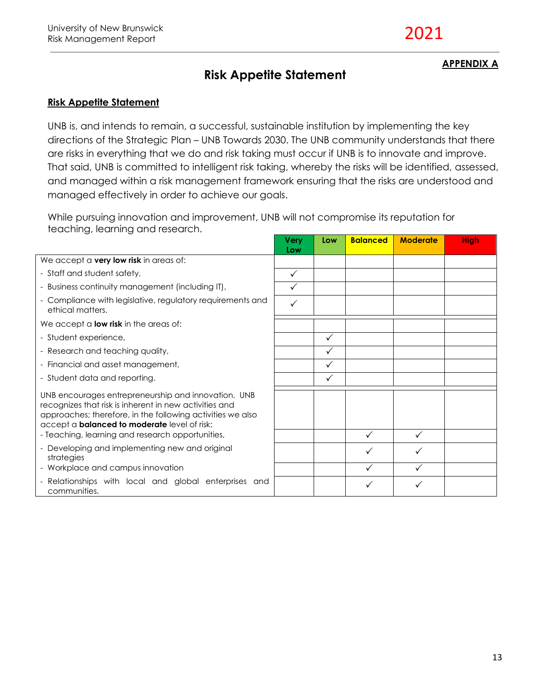### **Risk Appetite Statement**

#### **APPENDIX A**

#### **Risk Appetite Statement**

UNB is, and intends to remain, a successful, sustainable institution by implementing the key directions of the Strategic Plan – UNB Towards 2030. The UNB community understands that there are risks in everything that we do and risk taking must occur if UNB is to innovate and improve. That said, UNB is committed to intelligent risk taking, whereby the risks will be identified, assessed, and managed within a risk management framework ensuring that the risks are understood and managed effectively in order to achieve our goals.

While pursuing innovation and improvement, UNB will not compromise its reputation for teaching, learning and research.

|                                                                                                                                                                                                                                    | Very<br>Low  | Low          | <b>Balanced</b> | <b>Moderate</b> | <b>High</b> |
|------------------------------------------------------------------------------------------------------------------------------------------------------------------------------------------------------------------------------------|--------------|--------------|-----------------|-----------------|-------------|
| We accept a very low risk in areas of:                                                                                                                                                                                             |              |              |                 |                 |             |
| - Staff and student safety,                                                                                                                                                                                                        | $\checkmark$ |              |                 |                 |             |
| - Business continuity management (including IT),                                                                                                                                                                                   | $\checkmark$ |              |                 |                 |             |
| - Compliance with legislative, regulatory requirements and<br>ethical matters.                                                                                                                                                     | $\checkmark$ |              |                 |                 |             |
| We accept a <b>low risk</b> in the areas of:                                                                                                                                                                                       |              |              |                 |                 |             |
| - Student experience,                                                                                                                                                                                                              |              | $\checkmark$ |                 |                 |             |
| - Research and teaching quality,                                                                                                                                                                                                   |              | ✓            |                 |                 |             |
| - Financial and asset management,                                                                                                                                                                                                  |              | ✓            |                 |                 |             |
| - Student data and reporting.                                                                                                                                                                                                      |              | $\checkmark$ |                 |                 |             |
| UNB encourages entrepreneurship and innovation. UNB<br>recognizes that risk is inherent in new activities and<br>approaches; therefore, in the following activities we also<br>accept a <b>balanced to moderate</b> level of risk: |              |              |                 |                 |             |
| - Teaching, learning and research opportunities,                                                                                                                                                                                   |              |              |                 |                 |             |
| - Developing and implementing new and original<br>strategies                                                                                                                                                                       |              |              | $\checkmark$    | ✓               |             |
| - Workplace and campus innovation                                                                                                                                                                                                  |              |              | ✓               | ✓               |             |
| - Relationships with local and global enterprises and<br>communities.                                                                                                                                                              |              |              |                 |                 |             |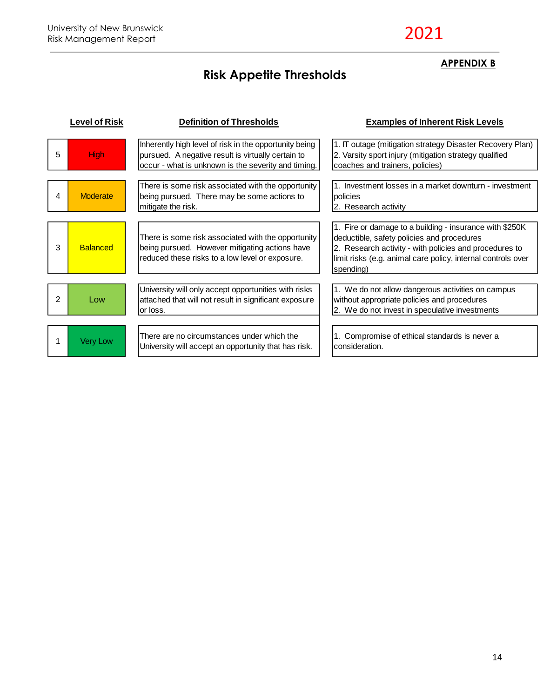# **Risk Appetite Thresholds**

### **APPENDIX B**

|                | evel of Risk    | <b>Definition of Thresholds</b>                                                                                                                                     | <b>Examples of Inherent Risk Levels</b>                                                                                                                                                                                                      |
|----------------|-----------------|---------------------------------------------------------------------------------------------------------------------------------------------------------------------|----------------------------------------------------------------------------------------------------------------------------------------------------------------------------------------------------------------------------------------------|
| 5              | <b>High</b>     | Inherently high level of risk in the opportunity being<br>pursued. A negative result is virtually certain to<br>occur - what is unknown is the severity and timing. | 1. IT outage (mitigation strategy Disaster Recovery Plan)<br>2. Varsity sport injury (mitigation strategy qualified<br>coaches and trainers, policies)                                                                                       |
| 4              | <b>Moderate</b> | There is some risk associated with the opportunity<br>being pursued. There may be some actions to<br>mitigate the risk.                                             | 11. Investment losses in a market downturn - investment<br>policies<br>2. Research activity                                                                                                                                                  |
| 3              | <b>Balanced</b> | There is some risk associated with the opportunity<br>being pursued. However mitigating actions have<br>reduced these risks to a low level or exposure.             | 1. Fire or damage to a building - insurance with \$250K<br>deductible, safety policies and procedures<br>2. Research activity - with policies and procedures to<br>limit risks (e.g. animal care policy, internal controls over<br>spending) |
| $\overline{2}$ | Low             | University will only accept opportunities with risks<br>attached that will not result in significant exposure<br>or loss.                                           | 1. We do not allow dangerous activities on campus<br>without appropriate policies and procedures<br>2. We do not invest in speculative investments                                                                                           |
|                | <b>Very Low</b> | There are no circumstances under which the<br>University will accept an opportunity that has risk.                                                                  | 1. Compromise of ethical standards is never a<br>consideration.                                                                                                                                                                              |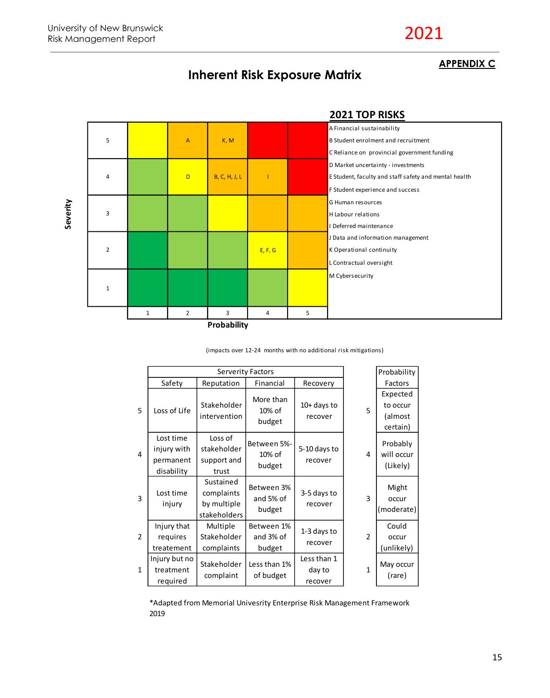2021

#### **APPENDIX C**



#### **Inherent Risk Exposure Matrix**

(impacts over 12-24 months with no additional risk mitigations)

|                |                                                     |                                                        | Probability                       |                                  |                |                                             |
|----------------|-----------------------------------------------------|--------------------------------------------------------|-----------------------------------|----------------------------------|----------------|---------------------------------------------|
|                | Safety                                              | Reputation                                             | Financial                         | Recovery                         |                | Factors                                     |
| 5              | Loss of Life                                        | Stakeholder<br>intervention                            | More than<br>10% of<br>budget     | $10+$ days to<br>recover         | 5              | Expected<br>to occur<br>(almost<br>certain) |
| 4              | Lost time<br>injury with<br>permanent<br>disability | Loss of<br>stakeholder<br>support and<br>trust         | Between 5%-<br>10% of<br>budget   | 5-10 days to<br>recover          | 4              | Probably<br>will occur<br>(Likely)          |
| 3              | Lost time<br>injury                                 | Sustained<br>complaints<br>by multiple<br>stakeholders | Between 3%<br>and 5% of<br>budget | 3-5 days to<br>recover           | 3              | Might<br>occur<br>(moderate)                |
| $\overline{2}$ | Injury that<br>requires<br>treatement               | Multiple<br>Stakeholder<br>complaints                  | Between 1%<br>and 3% of<br>budget | 1-3 days to<br>recover           | $\overline{2}$ | Could<br>occur<br>(unlikely)                |
| $\mathbf{1}$   | Injury but no<br>treatment<br>required              | Stakeholder<br>complaint                               | Less than 1%<br>of budget         | Less than 1<br>day to<br>recover | $\mathbf{1}$   | May occur<br>(rare)                         |

\*Adapted from Memorial Univesrity Enterprise Risk Management Framework 2019